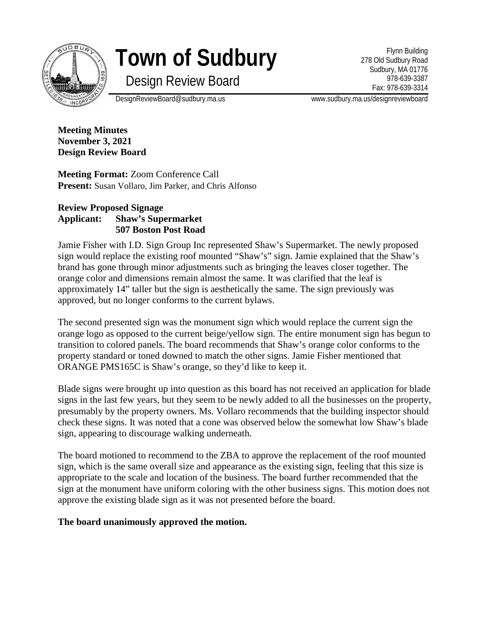

# **Town of Sudbury**

Design Review Board

Flynn Building 278 Old Sudbury Road Sudbury, MA 01776 978-639-3387 Fax: 978-639-3314

DesignReviewBoard@sudbury.ma.us www.sudbury.ma.us/designreviewboard

**Meeting Minutes November 3, 2021 Design Review Board**

**Meeting Format:** Zoom Conference Call **Present:** Susan Vollaro, Jim Parker, and Chris Alfonso

### **Review Proposed Signage Applicant: Shaw's Supermarket 507 Boston Post Road**

Jamie Fisher with I.D. Sign Group Inc represented Shaw's Supermarket. The newly proposed sign would replace the existing roof mounted "Shaw's" sign. Jamie explained that the Shaw's brand has gone through minor adjustments such as bringing the leaves closer together. The orange color and dimensions remain almost the same. It was clarified that the leaf is approximately 14" taller but the sign is aesthetically the same. The sign previously was approved, but no longer conforms to the current bylaws.

The second presented sign was the monument sign which would replace the current sign the orange logo as opposed to the current beige/yellow sign. The entire monument sign has begun to transition to colored panels. The board recommends that Shaw's orange color conforms to the property standard or toned downed to match the other signs. Jamie Fisher mentioned that ORANGE PMS165C is Shaw's orange, so they'd like to keep it.

Blade signs were brought up into question as this board has not received an application for blade signs in the last few years, but they seem to be newly added to all the businesses on the property, presumably by the property owners. Ms. Vollaro recommends that the building inspector should check these signs. It was noted that a cone was observed below the somewhat low Shaw's blade sign, appearing to discourage walking underneath.

The board motioned to recommend to the ZBA to approve the replacement of the roof mounted sign, which is the same overall size and appearance as the existing sign, feeling that this size is appropriate to the scale and location of the business. The board further recommended that the sign at the monument have uniform coloring with the other business signs. This motion does not approve the existing blade sign as it was not presented before the board.

# **The board unanimously approved the motion.**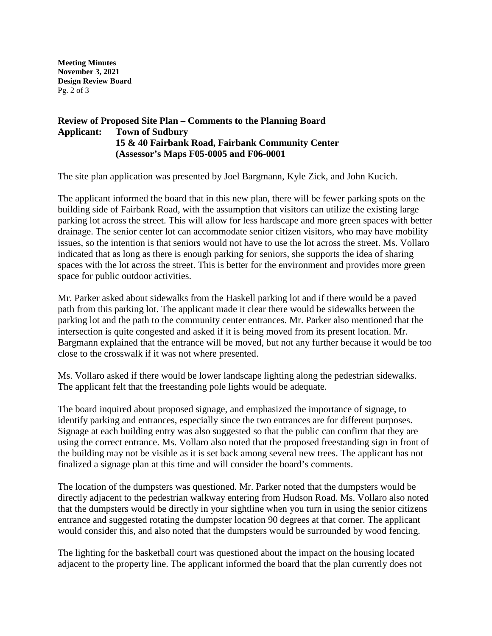**Meeting Minutes November 3, 2021 Design Review Board** Pg. 2 of 3

### **Review of Proposed Site Plan – Comments to the Planning Board Applicant: Town of Sudbury 15 & 40 Fairbank Road, Fairbank Community Center (Assessor's Maps F05-0005 and F06-0001**

The site plan application was presented by Joel Bargmann, Kyle Zick, and John Kucich.

The applicant informed the board that in this new plan, there will be fewer parking spots on the building side of Fairbank Road, with the assumption that visitors can utilize the existing large parking lot across the street. This will allow for less hardscape and more green spaces with better drainage. The senior center lot can accommodate senior citizen visitors, who may have mobility issues, so the intention is that seniors would not have to use the lot across the street. Ms. Vollaro indicated that as long as there is enough parking for seniors, she supports the idea of sharing spaces with the lot across the street. This is better for the environment and provides more green space for public outdoor activities.

Mr. Parker asked about sidewalks from the Haskell parking lot and if there would be a paved path from this parking lot. The applicant made it clear there would be sidewalks between the parking lot and the path to the community center entrances. Mr. Parker also mentioned that the intersection is quite congested and asked if it is being moved from its present location. Mr. Bargmann explained that the entrance will be moved, but not any further because it would be too close to the crosswalk if it was not where presented.

Ms. Vollaro asked if there would be lower landscape lighting along the pedestrian sidewalks. The applicant felt that the freestanding pole lights would be adequate.

The board inquired about proposed signage, and emphasized the importance of signage, to identify parking and entrances, especially since the two entrances are for different purposes. Signage at each building entry was also suggested so that the public can confirm that they are using the correct entrance. Ms. Vollaro also noted that the proposed freestanding sign in front of the building may not be visible as it is set back among several new trees. The applicant has not finalized a signage plan at this time and will consider the board's comments.

The location of the dumpsters was questioned. Mr. Parker noted that the dumpsters would be directly adjacent to the pedestrian walkway entering from Hudson Road. Ms. Vollaro also noted that the dumpsters would be directly in your sightline when you turn in using the senior citizens entrance and suggested rotating the dumpster location 90 degrees at that corner. The applicant would consider this, and also noted that the dumpsters would be surrounded by wood fencing.

The lighting for the basketball court was questioned about the impact on the housing located adjacent to the property line. The applicant informed the board that the plan currently does not